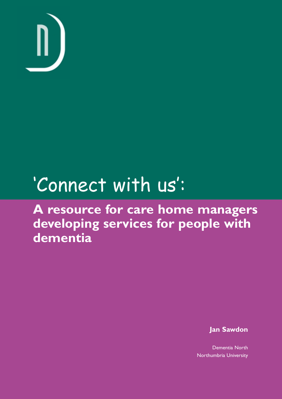

# 'Connect with us':

**A resource for care home managers developing services for people with dementia**

**Jan Sawdon**

Dementia North Northumbria University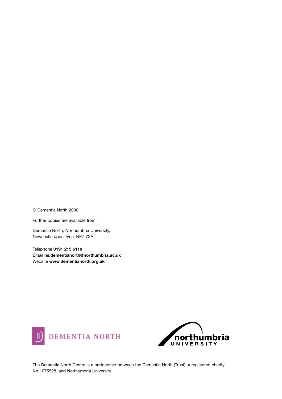© Dementia North 2006

Further copies are available from:

Dementia North, Northumbria University, Newcastle upon Tyne. NE7 7XA

Telephone **0191 215 6110** Email **hs.dementianorth@northumbria.ac.uk** Website **www.dementianorth.org.uk**





The Dementia North Centre is a partnership between the Dementia North (Trust), a registered charity No 1075528, and Northumbria University.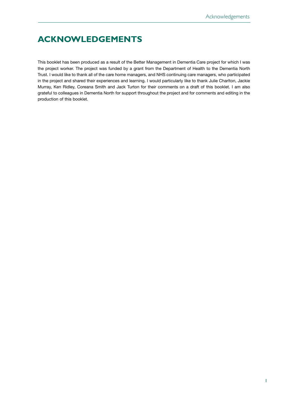# **ACKNOWLEDGEMENTS**

This booklet has been produced as a result of the Better Management in Dementia Care project for which I was the project worker. The project was funded by a grant from the Department of Health to the Dementia North Trust. I would like to thank all of the care home managers, and NHS continuing care managers, who participated in the project and shared their experiences and learning. I would particularly like to thank Julie Charlton, Jackie Murray, Ken Ridley, Coreana Smith and Jack Turton for their comments on a draft of this booklet. I am also grateful to colleagues in Dementia North for support throughout the project and for comments and editing in the production of this booklet.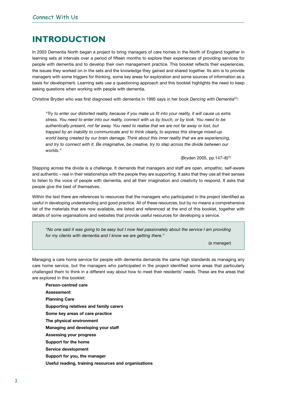# **INTRODUCTION**

In 2003 Dementia North began a project to bring managers of care homes in the North of England together in learning sets at intervals over a period of fifteen months to explore their experiences of providing services for people with dementia and to develop their own management practice. This booklet reflects their experiences, the issues they worked on in the sets and the knowledge they gained and shared together. Its aim is to provide managers with some triggers for thinking, some key areas for exploration and some sources of information as a basis for development. Learning sets use a questioning approach and this booklet highlights the need to keep asking questions when working with people with dementia.

Christine Bryden who was first diagnosed with dementia in 1995 says in her book *Dancing with Dementia*(1):

*"Try to enter our distorted reality, because if you make us fit into your reality, it will cause us extra stress. You need to enter into our reality, connect with us by touch, or by look. You need to be authentically present, not far away. You need to realise that we are not far away or lost, but trapped by an inability to communicate and to think clearly, to express this strange mixed-up world being created by our brain damage. Think about this inner reality that we are experiencing, and try to connect with it. Be imaginative, be creative, try to step across the divide between our worlds."* 

(Bryden 2005, pp.147–8)(1)

Stepping across the divide is a challenge. It demands that managers and staff are open, empathic, self-aware and authentic – real in their relationships with the people they are supporting. It asks that they use all their senses to listen to the voice of people with dementia, and all their imagination and creativity to respond. It asks that people give the best of themselves.

Within the text there are references to resources that the managers who participated in the project identified as useful in developing understanding and good practice. All of these resources, but by no means a comprehensive list of the materials that are now available, are listed and referenced at the end of this booklet, together with details of some organisations and websites that provide useful resources for developing a service.

*"No one said it was going to be easy but I now feel passionately about the service I am providing for my clients with dementia and I know we are getting there."*

(a manager)

Managing a care home service for people with dementia demands the same high standards as managing any care home service, but the managers who participated in the project identified some areas that particularly challenged them to think in a different way about how to meet their residents' needs. These are the areas that are explored in this booklet:

**Person-centred care Assessment Planning Care Supporting relatives and family carers Some key areas of care practice The physical environment Managing and developing your staff Assessing your progress Support for the home Service development Support for you, the manager Useful reading, training resources and organisations**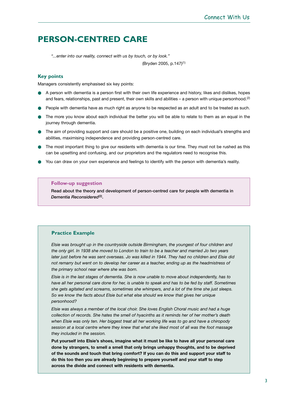# **PERSON-CENTRED CARE**

*"...enter into our reality, connect with us by touch, or by look."* 

(Bryden 2005, p.147)(1)

### **Key points**

Managers consistently emphasised six key points:

- A person with dementia is a person first with their own life experience and history, likes and dislikes, hopes and fears, relationships, past and present, their own skills and abilities – a person with unique personhood.<sup>(2)</sup>
- People with dementia have as much right as anyone to be respected as an adult and to be treated as such.
- The more you know about each individual the better you will be able to relate to them as an equal in the journey through dementia.
- The aim of providing support and care should be a positive one, building on each individual's strengths and abilities, maximising independence and providing person-centred care.
- The most important thing to give our residents with dementia is our time. They must not be rushed as this can be upsetting and confusing, and our proprietors and the regulators need to recognise this.
- You can draw on your own experience and feelings to identify with the person with dementia's reality.

### **Follow-up suggestion**

**Read about the theory and development of person-centred care for people with dementia in** *Dementia Reconsidered***(2).**

### **Practice Example**

*Elsie was brought up in the countryside outside Birmingham, the youngest of four children and the only girl. In 1938 she moved to London to train to be a teacher and married Jo two years later just before he was sent overseas. Jo was killed in 1944. They had no children and Elsie did not remarry but went on to develop her career as a teacher, ending up as the headmistress of the primary school near where she was born.*

*Elsie is in the last stages of dementia. She is now unable to move about independently, has to have all her personal care done for her, is unable to speak and has to be fed by staff. Sometimes she gets agitated and screams, sometimes she whimpers, and a lot of the time she just sleeps. So we know the facts about Elsie but what else should we know that gives her unique personhood?*

*Elsie was always a member of the local choir. She loves English Choral music and had a huge collection of records. She hates the smell of hyacinths as it reminds her of her mother's death when Elsie was only ten. Her biggest treat all her working life was to go and have a chiropody session at a local centre where they knew that what she liked most of all was the foot massage they included in the session.* 

**Put yourself into Elsie's shoes, imagine what it must be like to have all your personal care done by strangers, to smell a smell that only brings unhappy thoughts, and to be deprived of the sounds and touch that bring comfort? If you can do this and support your staff to do this too then you are already beginning to prepare yourself and your staff to step across the divide and connect with residents with dementia.**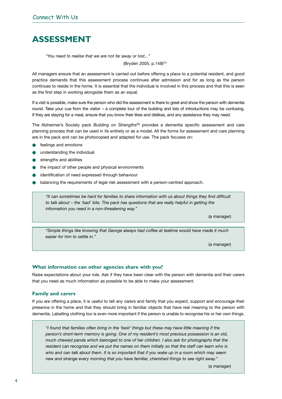# **ASSESSMENT**

*"You need to realise that we are not far away or lost..."* 

(Bryden 2005, p.148)(1)

All managers ensure that an assessment is carried out before offering a place to a potential resident, and good practice demands that this assessment process continues after admission and for as long as the person continues to reside in the home. It is essential that the individual is involved in this process and that this is seen as the first step in working alongside them as an equal.

If a visit is possible, make sure the person who did the assessment is there to greet and show the person with dementia round. Take your cue from the visitor – a complete tour of the building and lots of introductions may be confusing. If they are staying for a meal, ensure that you know their likes and dislikes, and any assistance they may need.

The Alzheimer's Society pack *Building on Strengths*(3) provides a dementia specific assessment and care planning process that can be used in its entirety or as a model. All the forms for assessment and care planning are in the pack and can be photocopied and adapted for use. The pack focuses on:

- feelings and emotions
- understanding the individual
- strengths and abilities
- the impact of other people and physical environments
- identification of need expressed through behaviour
- balancing the requirements of legal risk assessment with a person-centred approach.

*"It can sometimes be hard for families to share information with us about things they find difficult to talk about – the 'bad' bits. The pack has questions that are really helpful in getting the information you need in a non-threatening way."* 

(a manager)

*"Simple things like knowing that George always had coffee at teatime would have made it much easier for him to settle in."* 

(a manager)

### **What information can other agencies share with you?**

Raise expectations about your role. Ask if they have been clear with the person with dementia and their carers that you need as much information as possible to be able to make your assessment.

### **Family and carers**

If you are offering a place, it is useful to tell any carers and family that you expect, support and encourage their presence in the home and that they should bring in familiar objects that have real meaning to the person with dementia. Labelling clothing too is even more important if the person is unable to recognise his or her own things.

*"I found that families often bring in the 'best' things but these may have little meaning if the person's short-term memory is going. One of my resident's most precious possession is an old, much chewed panda which belonged to one of her children. I also ask for photographs that the resident can recognise and we put the names on them initially so that the staff can learn who is who and can talk about them. It is so important that if you wake up in a room which may seem new and strange every morning that you have familiar, cherished things to see right away."* 

(a manager)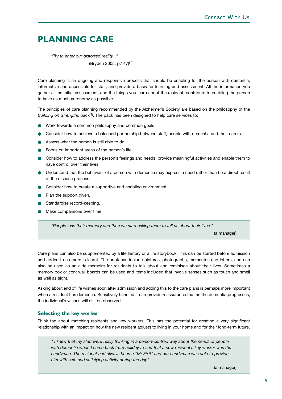# **PLANNING CARE**

*"Try to enter our distorted reality..."*  (Bryden 2005, p.147)(1)

Care planning is an ongoing and responsive process that should be enabling for the person with dementia, informative and accessible for staff, and provide a basis for learning and assessment. All the information you gather at the initial assessment, and the things you learn about the resident, contribute to enabling the person to have as much autonomy as possible.

The principles of care planning recommended by the Alzheimer's Society are based on the philosophy of the *Building on Strengths* pack<sup>(3)</sup>. The pack has been designed to help care services to:

- Work towards a common philosophy and common goals.
- Consider how to achieve a balanced partnership between staff, people with dementia and their carers.
- Assess what the person is still able to do.
- Focus on important areas of the person's life.
- Consider how to address the person's feelings and needs, provide meaningful activities and enable them to have control over their lives.
- Understand that the behaviour of a person with dementia may express a need rather than be a direct result of the disease process.
- Consider how to create a supportive and enabling environment.
- Plan the support given.
- Standardise record-keeping.
- Make comparisons over time.

*"People lose their memory and then we start asking them to tell us about their lives."* 

(a manager)

Care plans can also be supplemented by a life history or a life storybook. This can be started before admission and added to as more is learnt. The book can include pictures, photographs, mementos and letters, and can also be used as an aide mémoire for residents to talk about and reminisce about their lives. Sometimes a memory box or cork wall boards can be used and items included that involve senses such as touch and smell as well as sight.

Asking about end of life wishes soon after admission and adding this to the care plans is perhaps more important when a resident has dementia. Sensitively handled it can provide reassurance that as the dementia progresses, the individual's wishes will still be observed.

# **Selecting the key worker**

Think too about matching residents and key workers. This has the potential for creating a very significant relationship with an impact on how the new resident adjusts to living in your home and for their long-term future.

*" I knew that my staff were really thinking in a person-centred way about the needs of people with dementia when I came back from holiday to find that a new resident's key worker was the handyman. The resident had always been a "Mr Fixit" and our handyman was able to provide him with safe and satisfying activity during the day".*

(a manager)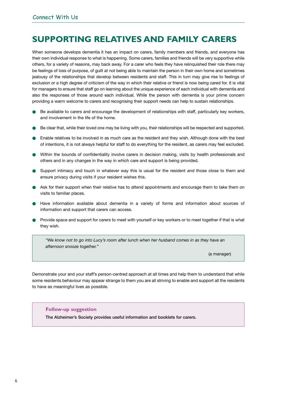# **SUPPORTING RELATIVES AND FAMILY CARERS**

When someone develops dementia it has an impact on carers, family members and friends, and everyone has their own individual response to what is happening. Some carers, families and friends will be very supportive while others, for a variety of reasons, may back away. For a carer who feels they have relinquished their role there may be feelings of loss of purpose, of guilt at not being able to maintain the person in their own home and sometimes jealousy of the relationships that develop between residents and staff. This in turn may give rise to feelings of exclusion or a high degree of criticism of the way in which their relative or friend is now being cared for. It is vital for managers to ensure that staff go on learning about the unique experience of each individual with dementia and also the responses of those around each individual. While the person with dementia is your prime concern providing a warm welcome to carers and recognising their support needs can help to sustain relationships.

- Be available to carers and encourage the development of relationships with staff, particularly key workers, and involvement in the life of the home.
- Be clear that, while their loved one may be living with you, their relationships will be respected and supported.
- Enable relatives to be involved in as much care as the resident and they wish. Although done with the best of intentions, it is not always helpful for staff to do everything for the resident, as carers may feel excluded.
- Within the bounds of confidentiality involve carers in decision making, visits by health professionals and others and in any changes in the way in which care and support is being provided.
- Support intimacy and touch in whatever way this is usual for the resident and those close to them and ensure privacy during visits if your resident wishes this.
- Ask for their support when their relative has to attend appointments and encourage them to take them on visits to familiar places.
- Have information available about dementia in a variety of forms and information about sources of information and support that carers can access.
- Provide space and support for carers to meet with yourself or key workers or to meet together if that is what they wish.

*"We know not to go into Lucy's room after lunch when her husband comes in as they have an afternoon snooze together."* 

(a manager)

Demonstrate your and your staff's person-centred approach at all times and help them to understand that while some residents behaviour may appear strange to them you are all striving to enable and support all the residents to have as meaningful lives as possible.

#### **Follow-up suggestion**

**The Alzheimer's Society provides useful information and booklets for carers.**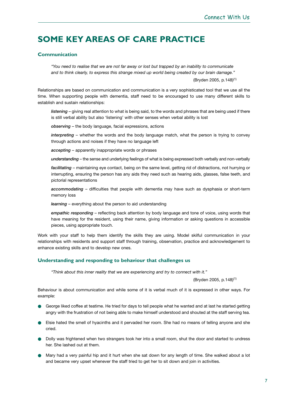# **SOME KEY AREAS OF CARE PRACTICE**

# **Communication**

*"You need to realise that we are not far away or lost but trapped by an inability to communicate and to think clearly, to express this strange mixed up world being created by our brain damage."* 

(Bryden 2005, p.148)(1)

Relationships are based on communication and communication is a very sophisticated tool that we use all the time. When supporting people with dementia, staff need to be encouraged to use many different skills to establish and sustain relationships:

*listening* – giving real attention to what is being said, to the words and phrases that are being used if there is still verbal ability but also 'listening' with other senses when verbal ability is lost

*observing* – the body language, facial expressions, actions

*interpreting* – whether the words and the body language match, what the person is trying to convey through actions and noises if they have no language left

*accepting* – apparently inappropriate words or phrases

*understanding* – the sense and underlying feelings of what is being expressed both verbally and non-verbally

*facilitating* – maintaining eye contact, being on the same level, getting rid of distractions, not hurrying or interrupting, ensuring the person has any aids they need such as hearing aids, glasses, false teeth, and pictorial representations

*accommodating* – difficulties that people with dementia may have such as dysphasia or short-term memory loss

*learning* – everything about the person to aid understanding

*empathic responding* – reflecting back attention by body language and tone of voice, using words that have meaning for the resident, using their name, giving information or asking questions in accessible pieces, using appropriate touch.

Work with your staff to help them identify the skills they are using. Model skilful communication in your relationships with residents and support staff through training, observation, practice and acknowledgement to enhance existing skills and to develop new ones.

### **Understanding and responding to behaviour that challenges us**

*"Think about this inner reality that we are experiencing and try to connect with it."* 

(Bryden 2005, p.148)(1)

Behaviour is about communication and while some of it is verbal much of it is expressed in other ways. For example:

- George liked coffee at teatime. He tried for days to tell people what he wanted and at last he started getting angry with the frustration of not being able to make himself understood and shouted at the staff serving tea.
- Elsie hated the smell of hyacinths and it pervaded her room. She had no means of telling anyone and she cried.
- Dolly was frightened when two strangers took her into a small room, shut the door and started to undress her. She lashed out at them.
- Mary had a very painful hip and it hurt when she sat down for any length of time. She walked about a lot and became very upset whenever the staff tried to get her to sit down and join in activities.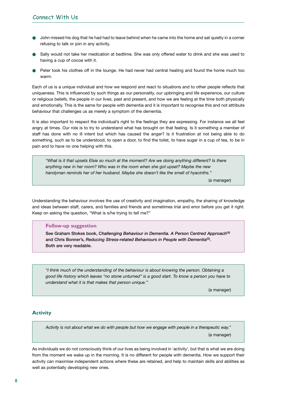- John missed his dog that he had had to leave behind when he came into the home and sat quietly in a corner refusing to talk or join in any activity.
- Sally would not take her medication at bedtime. She was only offered water to drink and she was used to having a cup of cocoa with it.
- Peter took his clothes off in the lounge. He had never had central heating and found the home much too warm.

Each of us is a unique individual and how we respond and react to situations and to other people reflects that uniqueness. This is influenced by such things as our personality, our upbringing and life experience, our culture or religious beliefs, the people in our lives, past and present, and how we are feeling at the time both physically and emotionally. This is the same for people with dementia and it is important to recognise this and not attribute behaviour that challenges us as merely a symptom of the dementia.

It is also important to respect the individual's right to the feelings they are expressing. For instance we all feel angry at times. Our role is to try to understand what has brought on that feeling. Is it something a member of staff has done with no ill intent but which has caused the anger? Is it frustration at not being able to do something, such as to be understood, to open a door, to find the toilet, to have sugar in a cup of tea, to be in pain and to have no one helping with this.

*"What is it that upsets Elsie so much at the moment? Are we doing anything different? Is there anything new in her room? Who was in the room when she got upset? Maybe the new handyman reminds her of her husband. Maybe she doesn't like the smell of hyacinths."* 

(a manager)

Understanding the behaviour involves the use of creativity and imagination, empathy, the sharing of knowledge and ideas between staff, carers, and families and friends and sometimes trial and error before you get it right. Keep on asking the question, "What is s/he trying to tell me?"

#### **Follow-up suggestion**

**See Graham Stokes book,** *Challenging Behaviour in Dementia. A Person Centred Approach***(4) and Chris Bonner's,** *Reducing Stress-related Behaviours in People with Dementia***(5). Both are very readable.** 

*"I think much of the understanding of the behaviour is about knowing the person. Obtaining a good life history which leaves "no stone unturned" is a good start. To know a person you have to understand what it is that makes that person unique."* 

(a manager)

# **Activity**

*Activity is not about what we do with people but how we engage with people in a therapeutic way."* (a manager)

As individuals we do not consciously think of our lives as being involved in 'activity', but that is what we are doing from the moment we wake up in the morning. It is no different for people with dementia. How we support their activity can maximise independent actions where these are retained, and help to maintain skills and abilities as well as potentially developing new ones.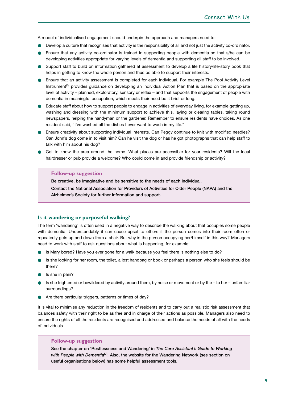A model of individualised engagement should underpin the approach and managers need to:

- Develop a culture that recognises that activity is the responsibility of all and not just the activity co-ordinator.
- Ensure that any activity co-ordinator is trained in supporting people with dementia so that s/he can be developing activities appropriate for varying levels of dementia and supporting all staff to be involved.
- Support staff to build on information gathered at assessment to develop a life history/life-story book that helps in getting to know the whole person and thus be able to support their interests.
- Ensure that an activity assessment is completed for each individual. For example The Pool Activity Level Instrument<sup>(6)</sup> provides quidance on developing an Individual Action Plan that is based on the appropriate level of activity – planned, exploratory, sensory or reflex – and that supports the engagement of people with dementia in meaningful occupation, which meets their need be it brief or long.
- Educate staff about how to support people to engage in activities of everyday living, for example getting up, washing and dressing with the minimum support to achieve this, laying or clearing tables, taking round newspapers, helping the handyman or the gardener. Remember to ensure residents have choices. As one resident said, "I've washed all the dishes I ever want to wash in my life."
- Ensure creativity about supporting individual interests. Can Peggy continue to knit with modified needles? Can John's dog come in to visit him? Can he visit the dog or has he got photographs that can help staff to talk with him about his dog?
- Get to know the area around the home. What places are accessible for your residents? Will the local hairdresser or pub provide a welcome? Who could come in and provide friendship or activity?

#### **Follow-up suggestion**

**Be creative, be imaginative and be sensitive to the needs of each individual.**

**Contact the National Association for Providers of Activities for Older People (NAPA) and the Alzheimer's Society for further information and support.**

#### **Is it wandering or purposeful walking?**

The term 'wandering' is often used in a negative way to describe the walking about that occupies some people with dementia. Understandably it can cause upset to others if the person comes into their room often or repeatedly gets up and down from a chair. But why is the person occupying her/himself in this way? Managers need to work with staff to ask questions about what is happening, for example:

- Is Mary bored? Have you ever gone for a walk because you feel there is nothing else to do?
- Is she looking for her room, the toilet, a lost handbag or book or perhaps a person who she feels should be there?
- Is she in pain?
- Is she frightened or bewildered by activity around them, by noise or movement or by the to her unfamiliar surroundings?
- **Are there particular triggers, patterns or times of day?**

It is vital to minimise any reduction in the freedom of residents and to carry out a realistic risk assessment that balances safety with their right to be as free and in charge of their actions as possible. Managers also need to ensure the rights of all the residents are recognised and addressed and balance the needs of all with the needs of individuals.

#### **Follow-up suggestion**

**See the chapter on 'Restlessness and Wandering' in** *The Care Assistant's Guide to Working with People with Dementia***(7). Also, the website for the Wandering Network (see section on useful organisations below) has some helpful assessment tools.**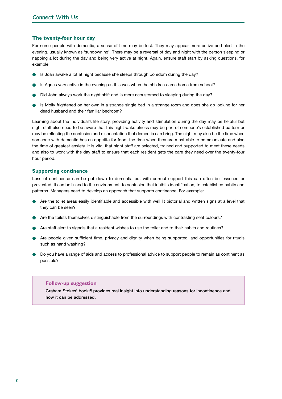### **The twenty-four hour day**

For some people with dementia, a sense of time may be lost. They may appear more active and alert in the evening, usually known as 'sundowning'. There may be a reversal of day and night with the person sleeping or napping a lot during the day and being very active at night. Again, ensure staff start by asking questions, for example:

- Is Joan awake a lot at night because she sleeps through boredom during the day?
- Is Agnes very active in the evening as this was when the children came home from school?
- Did John always work the night shift and is more accustomed to sleeping during the day?
- Is Molly frightened on her own in a strange single bed in a strange room and does she go looking for her dead husband and their familiar bedroom?

Learning about the individual's life story, providing activity and stimulation during the day may be helpful but night staff also need to be aware that this night wakefulness may be part of someone's established pattern or may be reflecting the confusion and disorientation that dementia can bring. The night may also be the time when someone with dementia has an appetite for food, the time when they are most able to communicate and also the time of greatest anxiety. It is vital that night staff are selected, trained and supported to meet these needs and also to work with the day staff to ensure that each resident gets the care they need over the twenty-four hour period.

### **Supporting continence**

Loss of continence can be put down to dementia but with correct support this can often be lessened or prevented. It can be linked to the environment, to confusion that inhibits identification, to established habits and patterns. Managers need to develop an approach that supports continence. For example:

- Are the toilet areas easily identifiable and accessible with well lit pictorial and written signs at a level that they can be seen?
- Are the toilets themselves distinguishable from the surroundings with contrasting seat colours?
- Are staff alert to signals that a resident wishes to use the toilet and to their habits and routines?
- Are people given sufficient time, privacy and dignity when being supported, and opportunities for rituals such as hand washing?
- Do you have a range of aids and access to professional advice to support people to remain as continent as possible?

#### **Follow-up suggestion**

**Graham Stokes' book(4) provides real insight into understanding reasons for incontinence and how it can be addressed.**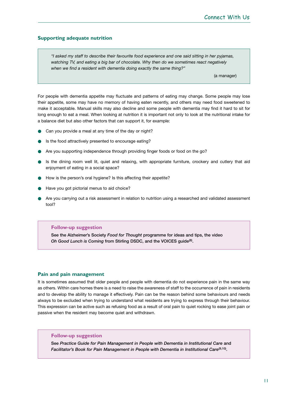### **Supporting adequate nutrition**

*"I asked my staff to describe their favourite food experience and one said sitting in her pyjamas, watching TV, and eating a big bar of chocolate. Why then do we sometimes react negatively when we find a resident with dementia doing exactly the same thing?"*

(a manager)

For people with dementia appetite may fluctuate and patterns of eating may change. Some people may lose their appetite, some may have no memory of having eaten recently, and others may need food sweetened to make it acceptable. Manual skills may also decline and some people with dementia may find it hard to sit for long enough to eat a meal. When looking at nutrition it is important not only to look at the nutritional intake for a balance diet but also other factors that can support it, for example:

- Can you provide a meal at any time of the day or night?
- Is the food attractively presented to encourage eating?
- Are you supporting independence through providing finger foods or food on the go?
- Is the dining room well lit, quiet and relaxing, with appropriate furniture, crockery and cutlery that aid enjoyment of eating in a social space?
- How is the person's oral hygiene? Is this affecting their appetite?
- Have you got pictorial menus to aid choice?
- Are you carrying out a risk assessment in relation to nutrition using a researched and validated assessment tool?

### **Follow-up suggestion**

**See the Alzheimer's Society** *Food for Thought* **programme for ideas and tips, the video**  *Oh Good Lunch is Coming* **from Stirling DSDC, and the VOICES guide(8).**

### **Pain and pain management**

It is sometimes assumed that older people and people with dementia do not experience pain in the same way as others. Within care homes there is a need to raise the awareness of staff to the occurrence of pain in residents and to develop the ability to manage it effectively. Pain can be the reason behind some behaviours and needs always to be excluded when trying to understand what residents are trying to express through their behaviour. This expression can be active such as refusing food as a result of oral pain to quiet rocking to ease joint pain or passive when the resident may become quiet and withdrawn.

### **Follow-up suggestion**

**See** *Practice Guide for Pain Management in People with Dementia in Institutional Care* **and** *Facilitator's Book for Pain Management in People with Dementia in Institutional Care***(9,10).**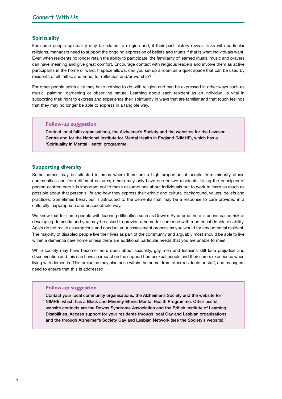### **Spirituality**

For some people spirituality may be related to religion and, if their past history reveals links with particular religions, managers need to support the ongoing expression of beliefs and rituals if that is what individuals want. Even when residents no longer retain the ability to participate, the familiarity of learned rituals, music and prayers can have meaning and give great comfort. Encourage contact with religious leaders and involve them as active participants in the home or ward. If space allows, can you set up a room as a quiet space that can be used by residents of all faiths, and none, for reflection and/or worship?

For other people spirituality may have nothing to do with religion and can be expressed in other ways such as music, painting, gardening or observing nature. Learning about each resident as an individual is vital in supporting their right to express and experience their spirituality in ways that are familiar and that touch feelings that they may no longer be able to express in a tangible way.

#### **Follow-up suggestion**

**Contact local faith organisations, the Alzheimer's Society and the websites for the Leveson Centre and for the National Institute for Mental Health in England (NIMHE), which has a 'Spirituality in Mental Health' programme.**

#### **Supporting diversity**

Some homes may be situated in areas where there are a high proportion of people from minority ethnic communities and from different cultures; others may only have one or two residents. Using the principles of person-centred care it is important not to make assumptions about individuals but to work to learn as much as possible about that person's life and how they express their ethnic and cultural background, values, beliefs and practices. Sometimes behaviour is attributed to the dementia that may be a response to care provided in a culturally inappropriate and unacceptable way.

We know that for some people with learning difficulties such as Down's Syndrome there is an increased risk of developing dementia and you may be asked to provide a home for someone with a potential double disability. Again do not make assumptions and conduct your assessment process as you would for any potential resident. The majority of disabled people live their lives as part of the community and arguably most should be able to live within a dementia care home unless there are additional particular needs that you are unable to meet.

While society may have become more open about sexuality, gay men and lesbians still face prejudice and discrimination and this can have an impact on the support homosexual people and their carers experience when living with dementia. This prejudice may also arise within the home, from other residents or staff, and managers need to ensure that this is addressed.

#### **Follow-up suggestion**

**Contact your local community organisations, the Alzheimer's Society and the website for NIMHE, which has a Black and Minority Ethnic Mental Health Programme. Other useful website contacts are the Downs Syndrome Association and the British Institute of Learning Disabilities. Access support for your residents through local Gay and Lesbian organisations and the through Alzheimer's Society Gay and Lesbian Network (see the Society's website).**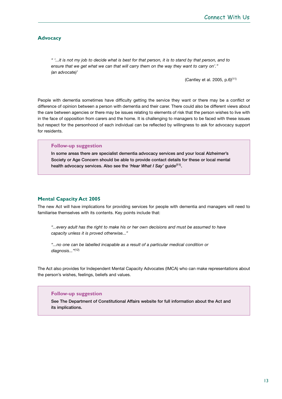### **Advocacy**

*" '...it is not my job to decide what is best for that person, it is to stand by that person, and to ensure that we get what we can that will carry them on the way they want to carry on'." (an advocate)'*

(Cantley et al. 2005, p.6)(11)

People with dementia sometimes have difficulty getting the service they want or there may be a conflict or difference of opinion between a person with dementia and their carer. There could also be different views about the care between agencies or there may be issues relating to elements of risk that the person wishes to live with in the face of opposition from carers and the home. It is challenging to managers to be faced with these issues but respect for the personhood of each individual can be reflected by willingness to ask for advocacy support for residents.

#### **Follow-up suggestion**

**In some areas there are specialist dementia advocacy services and your local Alzheimer's Society or Age Concern should be able to provide contact details for these or local mental health advocacy services. Also see the** *'Hear What I Say'* **guide(11).**

### **Mental Capacity Act 2005**

The new Act will have implications for providing services for people with dementia and managers will need to familiarise themselves with its contents. Key points include that:

*"...every adult has the right to make his or her own decisions and must be assumed to have capacity unless it is proved otherwise..."*

*"...no one can be labelled incapable as a result of a particular medical condition or diagnosis..."*(12)

The Act also provides for Independent Mental Capacity Advocates (IMCA) who can make representations about the person's wishes, feelings, beliefs and values.

#### **Follow-up suggestion**

**See The Department of Constitutional Affairs website for full information about the Act and its implications.**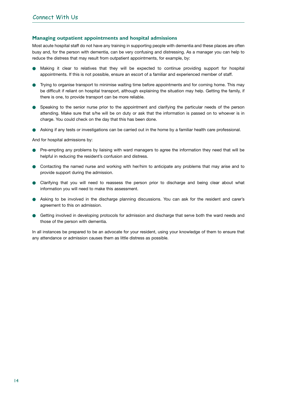### **Managing outpatient appointments and hospital admissions**

Most acute hospital staff do not have any training in supporting people with dementia and these places are often busy and, for the person with dementia, can be very confusing and distressing. As a manager you can help to reduce the distress that may result from outpatient appointments, for example, by:

- Making it clear to relatives that they will be expected to continue providing support for hospital appointments. If this is not possible, ensure an escort of a familiar and experienced member of staff.
- Trying to organise transport to minimise waiting time before appointments and for coming home. This may be difficult if reliant on hospital transport, although explaining the situation may help. Getting the family, if there is one, to provide transport can be more reliable.
- Speaking to the senior nurse prior to the appointment and clarifying the particular needs of the person attending. Make sure that s/he will be on duty or ask that the information is passed on to whoever is in charge. You could check on the day that this has been done.
- Asking if any tests or investigations can be carried out in the home by a familiar health care professional.

And for hospital admissions by:

- Pre-empting any problems by liaising with ward managers to agree the information they need that will be helpful in reducing the resident's confusion and distress.
- Contacting the named nurse and working with her/him to anticipate any problems that may arise and to provide support during the admission.
- Clarifying that you will need to reassess the person prior to discharge and being clear about what information you will need to make this assessment.
- Asking to be involved in the discharge planning discussions. You can ask for the resident and carer's agreement to this on admission.
- Getting involved in developing protocols for admission and discharge that serve both the ward needs and those of the person with dementia.

In all instances be prepared to be an advocate for your resident, using your knowledge of them to ensure that any attendance or admission causes them as little distress as possible.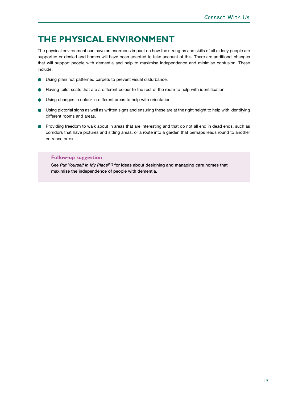# **THE PHYSICAL ENVIRONMENT**

The physical environment can have an enormous impact on how the strengths and skills of all elderly people are supported or denied and homes will have been adapted to take account of this. There are additional changes that will support people with dementia and help to maximise independence and minimise confusion. These include:

- Using plain not patterned carpets to prevent visual disturbance.
- Having toilet seats that are a different colour to the rest of the room to help with identification.
- Using changes in colour in different areas to help with orientation.
- Using pictorial signs as well as written signs and ensuring these are at the right height to help with identifying different rooms and areas.
- Providing freedom to walk about in areas that are interesting and that do not all end in dead ends, such as corridors that have pictures and sitting areas, or a route into a garden that perhaps leads round to another entrance or exit.

### **Follow-up suggestion**

**See** *Put Yourself in My Place***(13) for ideas about designing and managing care homes that maximise the independence of people with dementia.**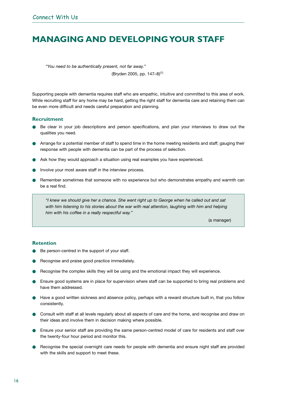# **MANAGING AND DEVELOPING YOUR STAFF**

*"You need to be authentically present, not far away."*

(Bryden 2005, pp. 147–8)(1)

Supporting people with dementia requires staff who are empathic, intuitive and committed to this area of work. While recruiting staff for any home may be hard, getting the right staff for dementia care and retaining them can be even more difficult and needs careful preparation and planning.

### **Recruitment**

- Be clear in your job descriptions and person specifications, and plan your interviews to draw out the qualities you need.
- Arrange for a potential member of staff to spend time in the home meeting residents and staff; gauging their response with people with dementia can be part of the process of selection.
- Ask how they would approach a situation using real examples you have experienced.
- Involve your most aware staff in the interview process.
- Remember sometimes that someone with no experience but who demonstrates empathy and warmth can be a real find.

*"I knew we should give her a chance. She went right up to George when he called out and sat with him listening to his stories about the war with real attention, laughing with him and helping him with his coffee in a really respectful way."*

(a manager)

### **Retention**

- Be person-centred in the support of your staff.
- Recognise and praise good practice immediately.
- Recognise the complex skills they will be using and the emotional impact they will experience.
- Ensure good systems are in place for supervision where staff can be supported to bring real problems and have them addressed.
- Have a good written sickness and absence policy, perhaps with a reward structure built in, that you follow consistently.
- Consult with staff at all levels regularly about all aspects of care and the home, and recognise and draw on their ideas and involve them in decision making where possible.
- **B** Ensure your senior staff are providing the same person-centred model of care for residents and staff over the twenty-four hour period and monitor this.
- Recognise the special overnight care needs for people with dementia and ensure night staff are provided with the skills and support to meet these.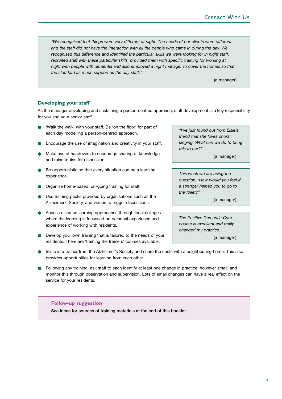*"We recognised that things were very different at night. The needs of our clients were different and the staff did not have the interaction with all the people who came in during the day. We recognised this difference and identified the particular skills we were looking for in night staff, recruited staff with these particular skills, provided them with specific training for working at night with people with dementia and also employed a night manager to cover the homes so that the staff had as much support as the day staff."*

(a manager)

### **Developing your staff**

As the manager developing and sustaining a person-centred approach, staff development is a key responsibility for you and your senior staff.

- 'Walk the walk' with your staff. Be 'on the floor' for part of each day modelling a person-centred approach.
- Encourage the use of imagination and creativity in your staff.
- Make use of handovers to encourage sharing of knowledge and raise topics for discussion.
- Be opportunistic so that every situation can be a learning experience.
- **D** Organise home-based, on-going training for staff.
- Use training packs provided by organisations such as the Alzheimer's Society, and videos to trigger discussions.
- Access distance learning approaches through local colleges where the learning is focussed on personal experience and experience of working with residents.
- Develop your own training that is tailored to the needs of your residents. There are 'training the trainers' courses available.

*"I've just found out from Elsie's friend that she loves choral singing. What can we do to bring this to her?"*

(a manager)

*This week we are using the question, 'How would you feel if a stranger helped you to go to the toilet?"* 

(a manager)

*The Positive Dementia Care course is excellent and really changed my practice.*

(a manager)

- Invite in a trainer from the Alzheimer's Society and share the costs with a neighbouring home. This also provides opportunities for learning from each other.
- Following any training, ask staff to each identify at least one change in practice, however small, and monitor this through observation and supervision. Lots of small changes can have a real effect on the service for your residents.

#### **Follow-up suggestion**

**See ideas for sources of training materials at the end of this booklet.**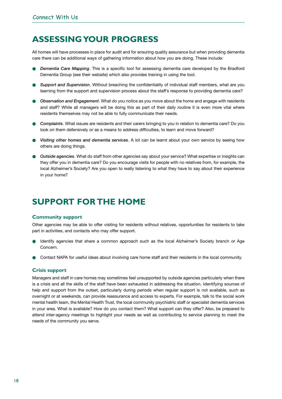# **ASSESSING YOUR PROGRESS**

All homes will have processes in place for audit and for ensuring quality assurance but when providing dementia care there can be additional ways of gathering information about how you are doing. These include:

- **Dementia Care Mapping.** This is a specific tool for assessing dementia care developed by the Bradford Dementia Group (see their website) which also provides training in using the tool.
- Support and Supervision. Without breaching the confidentiality of individual staff members, what are you learning from the support and supervision process about the staff's response to providing dementia care?
- **Observation and Engagement**. What do you notice as you move about the home and engage with residents and staff? While all managers will be doing this as part of their daily routine it is even more vital where residents themselves may not be able to fully communicate their needs.
- **Complaints.** What issues are residents and their carers bringing to you in relation to dementia care? Do you look on them defensively or as a means to address difficulties, to learn and move forward?
- **Visiting other homes and dementia services**. A lot can be learnt about your own service by seeing how others are doing things.
- *Outside agencies*. What do staff from other agencies say about your service? What expertise or insights can they offer you in dementia care? Do you encourage visits for people with no relatives from, for example, the local Alzheimer's Society? Are you open to really listening to what they have to say about their experience in your home?

# **SUPPORT FOR THE HOME**

# **Community support**

Other agencies may be able to offer visiting for residents without relatives, opportunities for residents to take part in activities, and contacts who may offer support.

- Identify agencies that share a common approach such as the local Alzheimer's Society branch or Age Concern.
- Contact NAPA for useful ideas about involving care home staff and their residents in the local community.

### **Crisis support**

Managers and staff in care homes may sometimes feel unsupported by outside agencies particularly when there is a crisis and all the skills of the staff have been exhausted in addressing the situation. Identifying sources of help and support from the outset, particularly during periods when regular support is not available, such as overnight or at weekends, can provide reassurance and access to experts. For example, talk to the social work mental health team, the Mental Health Trust, the local community psychiatric staff or specialist dementia services in your area. What is available? How do you contact them? What support can they offer? Also, be prepared to attend inter-agency meetings to highlight your needs as well as contributing to service planning to meet the needs of the community you serve.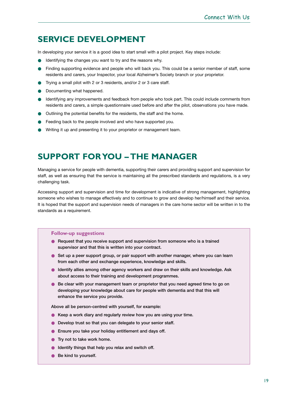# **SERVICE DEVELOPMENT**

In developing your service it is a good idea to start small with a pilot project. Key steps include:

- Identifying the changes you want to try and the reasons why.
- Finding supporting evidence and people who will back you. This could be a senior member of staff, some residents and carers, your Inspector, your local Alzheimer's Society branch or your proprietor.
- Trying a small pilot with 2 or 3 residents, and/or 2 or 3 care staff.
- Documenting what happened.
- Identifying any improvements and feedback from people who took part. This could include comments from residents and carers, a simple questionnaire used before and after the pilot, observations you have made.
- Outlining the potential benefits for the residents, the staff and the home.
- Feeding back to the people involved and who have supported you.
- Writing it up and presenting it to your proprietor or management team.

# **SUPPORT FOR YOU – THE MANAGER**

Managing a service for people with dementia, supporting their carers and providing support and supervision for staff, as well as ensuring that the service is maintaining all the prescribed standards and regulations, is a very challenging task.

Accessing support and supervision and time for development is indicative of strong management, highlighting someone who wishes to manage effectively and to continue to grow and develop her/himself and their service. It is hoped that the support and supervision needs of managers in the care home sector will be written in to the standards as a requirement.

### **Follow-up suggestions**

- **Request that you receive support and supervision from someone who is a trained supervisor and that this is written into your contract.**
- Set up a peer support group, or pair support with another manager, where you can learn **from each other and exchange experience, knowledge and skills.**
- **Identify allies among other agency workers and draw on their skills and knowledge. Ask about access to their training and development programmes.**
- **Be clear with your management team or proprietor that you need agreed time to go on developing your knowledge about care for people with dementia and that this will enhance the service you provide.**

**Above all be person-centred with yourself, for example:** 

- **Keep a work diary and regularly review how you are using your time.**
- **Develop trust so that you can delegate to your senior staff.**
- **Ensure you take your holiday entitlement and days off.**
- **Try not to take work home.**
- **Identify things that help you relax and switch off.**
- **Be kind to vourself.**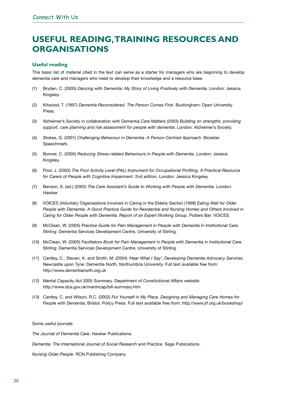# **USEFUL READING,TRAINING RESOURCES AND ORGANISATIONS**

# **Useful reading**

This basic list of material cited in the text can serve as a starter for managers who are beginning to develop dementia care and managers who need to develop their knowledge and a resource base.

- (1) Bryden, C. (2005) *Dancing with Dementia: My Story of Living Positively with Dementia*. London: Jessica Kingsley.
- (2) Kitwood, T. (1997) *Dementia Reconsidered. The Person Comes First*. Buckingham: Open University Press.
- (3) Alzheimer's Society in collaboration with Dementia Care Matters (2003) *Building on strengths: providing support, care planning and risk assessment for people with dementia*. London: Alzheimer's Society.
- (4) Stokes, G. (2001) *Challenging Behaviour in Dementia. A Person-Centred Approach*. Bicester: Speechmark.
- (5) Bonner, C. (2005) *Reducing Stress-related Behaviours in People with Dementia*. London: Jessica Kingsley.
- (6) Pool, J. (2002) *The Pool Activity Level (PAL) Instrument for Occupational Profiling. A Practical Resource for Carers of People with Cognitive Impairment*. 2nd edition. London: Jessica Kingsley.
- (7) Benson, S. (ed.) (2002) *The Care Assistant's Guide to Working with People with Dementia*. London: Hawker.
- (8) VOICES (Voluntary Organisations Involved in Caring in the Elderly Sector) (1998) *Eating Well for Older People with Dementia. A Good Practice Guide for Residential and Nursing Homes and Others Involved in Caring for Older People with Dementia. Report of an Expert Working Group*. Potters Bar: VOICES.
- (9) McClean, W. (2005) *Practice Guide for Pain Management in People with Dementia in Institutional Care*. Stirling: Dementia Services Development Centre, University of Stirling.
- (10) McClean, W. (2005) *Facilitators Book for Pain Management in People with Dementia in Institutional Care*. Stirling: Dementia Services Development Centre, University of Stirling.
- (11) Cantley, C., Steven, K. and Smith, M. (2004) *'Hear What I Say', Developing Dementia Advocacy Services*. Newcastle upon Tyne: Dementia North, Northumbria University. Full text available free from: http://www.dementianorth.org.uk
- (12) Mental Capacity Act 2005 Summary. Department of Constitutional Affairs website: http://www.dca.gov.uk/menincap/bill-summary.htm
- (13) Cantley, C. and Wilson, R.C. (2002) *Put Yourself in My Place. Designing and Managing Care Homes for People with Dementia*. Bristol: Policy Press. Full text available free from: http://www.jrf.org.uk/bookshop/

Some useful journals:

*The Journal of Dementia Care*. Hawker Publications.

*Dementia. The International Journal of Social Research and Practice*. Sage Publications.

*Nursing Older People*. RCN Publishing Company.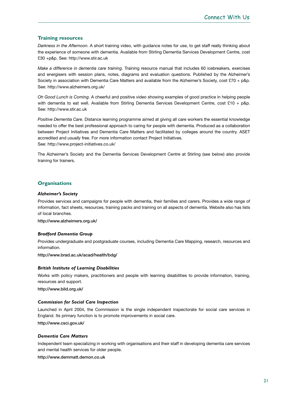# **Training resources**

*Darkness in the Afternoon*. A short training video, with guidance notes for use, to get staff really thinking about the experience of someone with dementia. Available from Stirling Dementia Services Development Centre, cost £30 +p&p. See: http://www.stir.ac.uk

*Make a difference in dementia care training*. Training resource manual that includes 60 icebreakers, exercises and energisers with session plans, notes, diagrams and evaluation questions. Published by the Alzheimer's Society in association with Dementia Care Matters and available from the Alzheimer's Society, cost £70 + p&p. See: http://www.alzheimers.org.uk/

*Oh Good Lunch is Coming*. A cheerful and positive video showing examples of good practice in helping people with dementia to eat well. Available from Stirling Dementia Services Development Centre, cost £10 + p&p. See: http://www.stir.ac.uk

*Positive Dementia Care*. Distance learning programme aimed at giving all care workers the essential knowledge needed to offer the best professional approach to caring for people with dementia. Produced as a collaboration between Project Initiatives and Dementia Care Matters and facilitated by colleges around the country. ASET accredited and *usually* free. For more information contact Project Initiatives. See: http://www.project-initiatives.co.uk/

The Alzheimer's Society and the Dementia Services Development Centre at Stirling (see below) also provide training for trainers.

### **Organisations**

#### *Alzheimer's Society*

Provides services and campaigns for people with dementia, their families and carers. Provides a wide range of information, fact sheets, resources, training packs and training on all aspects of dementia. Website also has lists of local branches.

**http://www.alzheimers.org.uk/**

### *Bradford Dementia Group*

Provides undergraduate and postgraduate courses, including Dementia Care Mapping, research, resources and information.

**http://www.brad.ac.uk/acad/health/bdg/**

### *British Institute of Learning Disabilities*

Works with policy makers, practitioners and people with learning disabilities to provide information, training, resources and support.

**http://www.bild.org.uk/**

### *Commission for Social Care Inspection*

Launched in April 2004, the Commission is the single independent inspectorate for social care services in England. Its primary function is to promote improvements in social care.

**http://www.csci.gov.uk/**

### *Dementia Care Matters*

Independent team specializing in working with organisations and their staff in developing dementia care services and mental health services for older people.

**http://www.demmatt.demon.co.uk**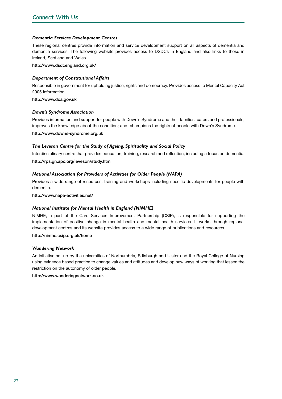#### *Dementia Services Development Centres*

These regional centres provide information and service development support on all aspects of dementia and dementia services. The following website provides access to DSDCs in England and also links to those in Ireland, Scotland and Wales.

**http://www.dsdcengland.org.uk/**

#### *Department of Constitutional Affairs*

Responsible in government for upholding justice, rights and democracy. Provides access to Mental Capacity Act 2005 information.

**http://www.dca.gov.uk**

#### *Down's Syndrome Association*

Provides information and support for people with Down's Syndrome and their families, carers and professionals; improves the knowledge about the condition; and, champions the rights of people with Down's Syndrome. **http://www.downs-syndrome.org.uk**

#### *The Leveson Centre for the Study of Ageing, Spirituality and Social Policy*

Interdisciplinary centre that provides education, training, research and reflection, including a focus on dementia. **http://rps.gn.apc.org/leveson/study.htm**

#### *National Association for Providers of Activities for Older People (NAPA)*

Provides a wide range of resources, training and workshops including specific developments for people with dementia.

**http://www.napa-activities.net/**

#### *National Institute for Mental Health in England (NIMHE)*

NIMHE, a part of the Care Services Improvement Partnership (CSIP), is responsible for supporting the implementation of positive change in mental health and mental health services. It works through regional development centres and its website provides access to a wide range of publications and resources.

**http://nimhe.csip.org.uk/home**

#### *Wandering Network*

An initiative set up by the universities of Northumbria, Edinburgh and Ulster and the Royal College of Nursing using evidence based practice to change values and attitudes and develop new ways of working that lessen the restriction on the autonomy of older people.

**http://www.wanderingnetwork.co.uk**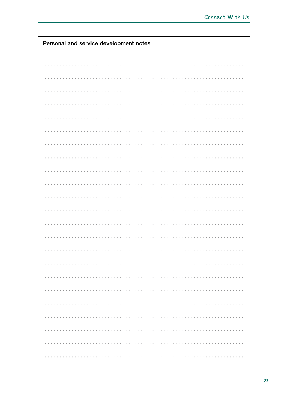| Personal and service development notes |
|----------------------------------------|
|                                        |
|                                        |
|                                        |
|                                        |
|                                        |
|                                        |
|                                        |
|                                        |
|                                        |
|                                        |
|                                        |
|                                        |
|                                        |
|                                        |
|                                        |
|                                        |
|                                        |
|                                        |
|                                        |
|                                        |
|                                        |
|                                        |
|                                        |
|                                        |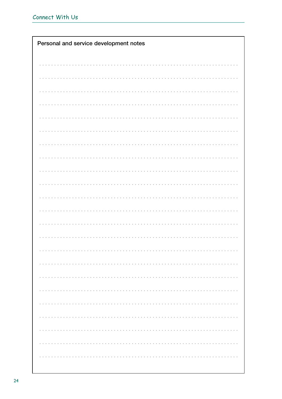| Personal and service development notes |
|----------------------------------------|
|                                        |
|                                        |
|                                        |
|                                        |
|                                        |
|                                        |
|                                        |
|                                        |
|                                        |
|                                        |
|                                        |
|                                        |
|                                        |
|                                        |
|                                        |
|                                        |
|                                        |
|                                        |
|                                        |
|                                        |
|                                        |
|                                        |
|                                        |
|                                        |